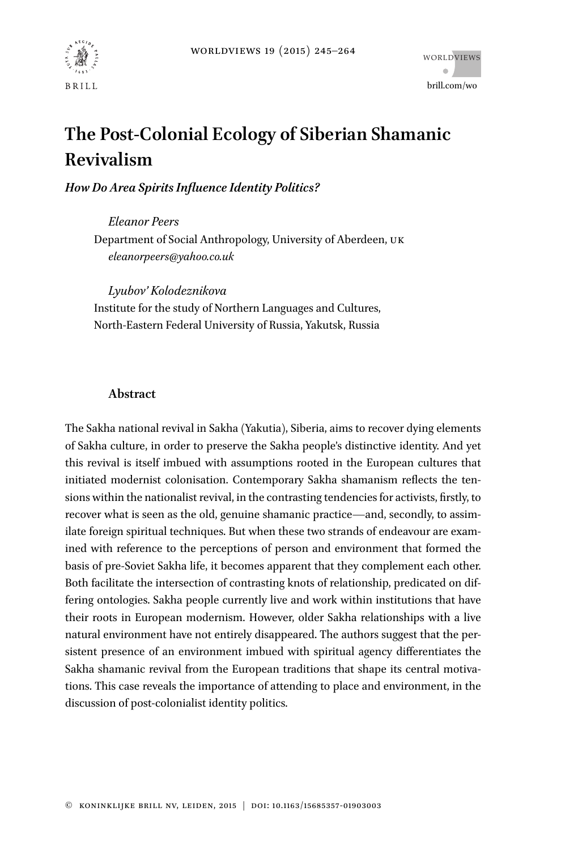

# <span id="page-0-0"></span>**The Post-Colonial Ecology of Siberian Shamanic Revivalism**

*How Do Area Spirits Influence Identity Politics?*

*Eleanor Peers* Department of Social Anthropology, University of Aberdeen, uk *[eleanorpeers@yahoo.co.uk](mailto:eleanorpeers@yahoo.co.uk)*

*Lyubov' Kolodeznikova* Institute for the study of Northern Languages and Cultures, North-Eastern Federal University of Russia, Yakutsk, Russia

# **Abstract**

The Sakha national revival in Sakha (Yakutia), Siberia, aims to recover dying elements of Sakha culture, in order to preserve the Sakha people's distinctive identity. And yet this revival is itself imbued with assumptions rooted in the European cultures that initiated modernist colonisation. Contemporary Sakha shamanism reflects the tensions within the nationalist revival, in the contrasting tendencies for activists, firstly, to recover what is seen as the old, genuine shamanic practice—and, secondly, to assimilate foreign spiritual techniques. But when these two strands of endeavour are examined with reference to the perceptions of person and environment that formed the basis of pre-Soviet Sakha life, it becomes apparent that they complement each other. Both facilitate the intersection of contrasting knots of relationship, predicated on differing ontologies. Sakha people currently live and work within institutions that have their roots in European modernism. However, older Sakha relationships with a live natural environment have not entirely disappeared. The authors suggest that the persistent presence of an environment imbued with spiritual agency differentiates the Sakha shamanic revival from the European traditions that shape its central motivations. This case reveals the importance of attending to place and environment, in the discussion of post-colonialist identity politics.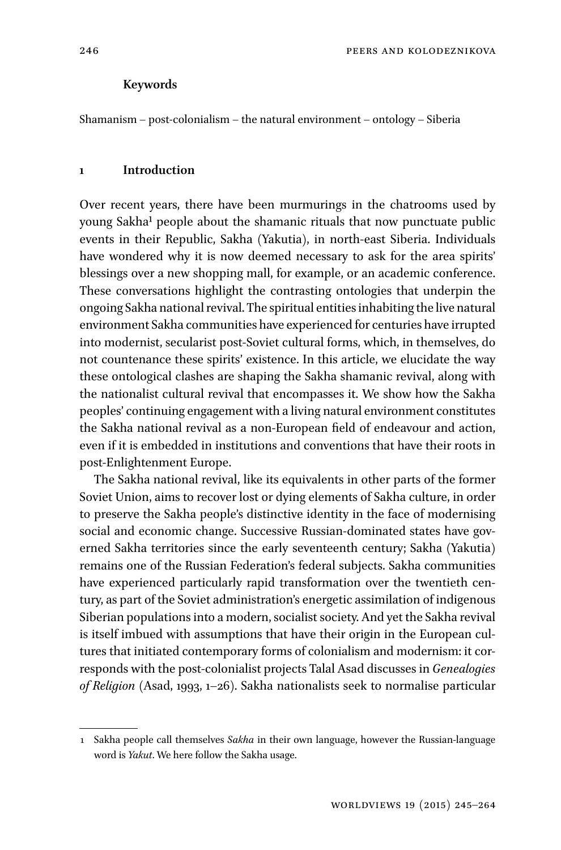#### **Keywords**

Shamanism – post-colonialism – the natural environment – ontology – Siberia

## **1 Introduction**

Over recent years, there have been murmurings in the chatrooms used by young Sakha1 people about the shamanic rituals that now punctuate public events in their Republic, Sakha (Yakutia), in north-east Siberia. Individuals have wondered why it is now deemed necessary to ask for the area spirits' blessings over a new shopping mall, for example, or an academic conference. These conversations highlight the contrasting ontologies that underpin the ongoing Sakha national revival. The spiritual entities inhabiting the live natural environment Sakha communities have experienced for centuries have irrupted into modernist, secularist post-Soviet cultural forms, which, in themselves, do not countenance these spirits' existence. In this article, we elucidate the way these ontological clashes are shaping the Sakha shamanic revival, along with the nationalist cultural revival that encompasses it. We show how the Sakha peoples' continuing engagement with a living natural environment constitutes the Sakha national revival as a non-European field of endeavour and action, even if it is embedded in institutions and conventions that have their roots in post-Enlightenment Europe.

The Sakha national revival, like its equivalents in other parts of the former Soviet Union, aims to recover lost or dying elements of Sakha culture, in order to preserve the Sakha people's distinctive identity in the face of modernising social and economic change. Successive Russian-dominated states have governed Sakha territories since the early seventeenth century; Sakha (Yakutia) remains one of the Russian Federation's federal subjects. Sakha communities have experienced particularly rapid transformation over the twentieth century, as part of the Soviet administration's energetic assimilation of indigenous Siberian populations into a modern, socialist society. And yet the Sakha revival is itself imbued with assumptions that have their origin in the European cultures that initiated contemporary forms of colonialism and modernism: it corresponds with the post-colonialist projects Talal Asad discusses in *Genealogies of Religion* (Asad, 1993, 1–26). Sakha nationalists seek to normalise particular

<sup>1</sup> Sakha people call themselves *Sakha* in their own language, however the Russian-language word is *Yakut*. We here follow the Sakha usage.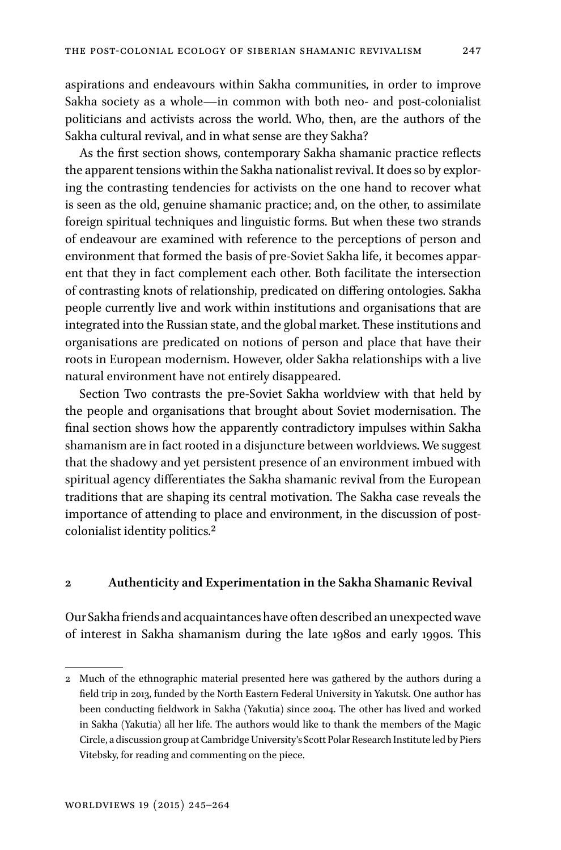aspirations and endeavours within Sakha communities, in order to improve Sakha society as a whole—in common with both neo- and post-colonialist politicians and activists across the world. Who, then, are the authors of the Sakha cultural revival, and in what sense are they Sakha?

As the first section shows, contemporary Sakha shamanic practice reflects the apparent tensions within the Sakha nationalist revival. It does so by exploring the contrasting tendencies for activists on the one hand to recover what is seen as the old, genuine shamanic practice; and, on the other, to assimilate foreign spiritual techniques and linguistic forms. But when these two strands of endeavour are examined with reference to the perceptions of person and environment that formed the basis of pre-Soviet Sakha life, it becomes apparent that they in fact complement each other. Both facilitate the intersection of contrasting knots of relationship, predicated on differing ontologies. Sakha people currently live and work within institutions and organisations that are integrated into the Russian state, and the global market. These institutions and organisations are predicated on notions of person and place that have their roots in European modernism. However, older Sakha relationships with a live natural environment have not entirely disappeared.

Section Two contrasts the pre-Soviet Sakha worldview with that held by the people and organisations that brought about Soviet modernisation. The final section shows how the apparently contradictory impulses within Sakha shamanism are in fact rooted in a disjuncture between worldviews. We suggest that the shadowy and yet persistent presence of an environment imbued with spiritual agency differentiates the Sakha shamanic revival from the European traditions that are shaping its central motivation. The Sakha case reveals the importance of attending to place and environment, in the discussion of postcolonialist identity politics.2

### **2 Authenticity and Experimentation in the Sakha Shamanic Revival**

Our Sakha friends and acquaintances have often described an unexpectedwave of interest in Sakha shamanism during the late 1980s and early 1990s. This

<sup>2</sup> Much of the ethnographic material presented here was gathered by the authors during a field trip in 2013, funded by the North Eastern Federal University in Yakutsk. One author has been conducting fieldwork in Sakha (Yakutia) since 2004. The other has lived and worked in Sakha (Yakutia) all her life. The authors would like to thank the members of the Magic Circle, a discussion group at Cambridge University's Scott Polar Research Institute led by Piers Vitebsky, for reading and commenting on the piece.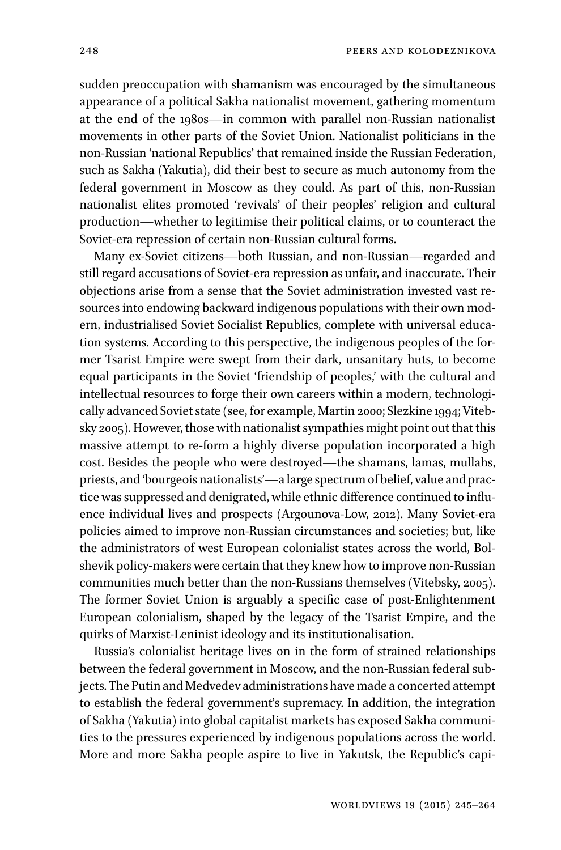sudden preoccupation with shamanism was encouraged by the simultaneous appearance of a political Sakha nationalist movement, gathering momentum at the end of the 1980s—in common with parallel non-Russian nationalist movements in other parts of the Soviet Union. Nationalist politicians in the non-Russian 'national Republics' that remained inside the Russian Federation, such as Sakha (Yakutia), did their best to secure as much autonomy from the federal government in Moscow as they could. As part of this, non-Russian nationalist elites promoted 'revivals' of their peoples' religion and cultural production—whether to legitimise their political claims, or to counteract the Soviet-era repression of certain non-Russian cultural forms.

Many ex-Soviet citizens—both Russian, and non-Russian—regarded and still regard accusations of Soviet-era repression as unfair, and inaccurate. Their objections arise from a sense that the Soviet administration invested vast resources into endowing backward indigenous populations with their own modern, industrialised Soviet Socialist Republics, complete with universal education systems. According to this perspective, the indigenous peoples of the former Tsarist Empire were swept from their dark, unsanitary huts, to become equal participants in the Soviet 'friendship of peoples,' with the cultural and intellectual resources to forge their own careers within a modern, technologically advanced Soviet state (see, for example, Martin 2000; Slezkine 1994; Vitebsky 2005). However, those with nationalist sympathies might point out that this massive attempt to re-form a highly diverse population incorporated a high cost. Besides the people who were destroyed—the shamans, lamas, mullahs, priests, and 'bourgeois nationalists'—a large spectrum of belief, value and practice was suppressed and denigrated, while ethnic difference continued to influence individual lives and prospects (Argounova-Low, 2012). Many Soviet-era policies aimed to improve non-Russian circumstances and societies; but, like the administrators of west European colonialist states across the world, Bolshevik policy-makers were certain that they knew how to improve non-Russian communities much better than the non-Russians themselves (Vitebsky, 2005). The former Soviet Union is arguably a specific case of post-Enlightenment European colonialism, shaped by the legacy of the Tsarist Empire, and the quirks of Marxist-Leninist ideology and its institutionalisation.

Russia's colonialist heritage lives on in the form of strained relationships between the federal government in Moscow, and the non-Russian federal subjects. The Putin and Medvedev administrations have made a concerted attempt to establish the federal government's supremacy. In addition, the integration of Sakha (Yakutia) into global capitalist markets has exposed Sakha communities to the pressures experienced by indigenous populations across the world. More and more Sakha people aspire to live in Yakutsk, the Republic's capi-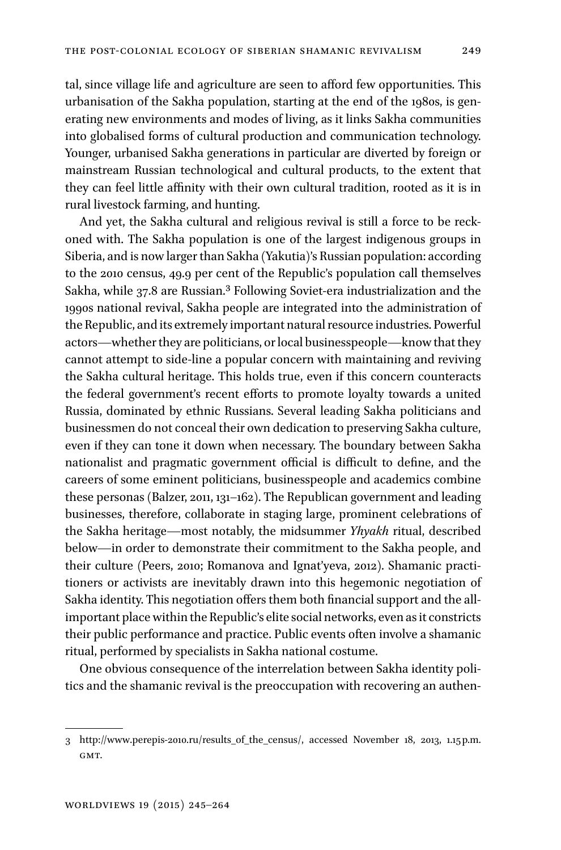tal, since village life and agriculture are seen to afford few opportunities. This urbanisation of the Sakha population, starting at the end of the 1980s, is generating new environments and modes of living, as it links Sakha communities into globalised forms of cultural production and communication technology. Younger, urbanised Sakha generations in particular are diverted by foreign or mainstream Russian technological and cultural products, to the extent that they can feel little affinity with their own cultural tradition, rooted as it is in rural livestock farming, and hunting.

And yet, the Sakha cultural and religious revival is still a force to be reckoned with. The Sakha population is one of the largest indigenous groups in Siberia, and is now larger than Sakha (Yakutia)'s Russian population: according to the 2010 census, 49.9 per cent of the Republic's population call themselves Sakha, while 37.8 are Russian.3 Following Soviet-era industrialization and the 1990s national revival, Sakha people are integrated into the administration of the Republic, and its extremely important natural resource industries. Powerful actors—whether they are politicians, or local businesspeople—know that they cannot attempt to side-line a popular concern with maintaining and reviving the Sakha cultural heritage. This holds true, even if this concern counteracts the federal government's recent efforts to promote loyalty towards a united Russia, dominated by ethnic Russians. Several leading Sakha politicians and businessmen do not conceal their own dedication to preserving Sakha culture, even if they can tone it down when necessary. The boundary between Sakha nationalist and pragmatic government official is difficult to define, and the careers of some eminent politicians, businesspeople and academics combine these personas (Balzer, 2011, 131–162). The Republican government and leading businesses, therefore, collaborate in staging large, prominent celebrations of the Sakha heritage—most notably, the midsummer *Yhyakh* ritual, described below—in order to demonstrate their commitment to the Sakha people, and their culture (Peers, 2010; Romanova and Ignat'yeva, 2012). Shamanic practitioners or activists are inevitably drawn into this hegemonic negotiation of Sakha identity. This negotiation offers them both financial support and the allimportant place within the Republic's elite social networks, even as it constricts their public performance and practice. Public events often involve a shamanic ritual, performed by specialists in Sakha national costume.

One obvious consequence of the interrelation between Sakha identity politics and the shamanic revival is the preoccupation with recovering an authen-

<sup>3</sup> [http://www.perepis-2010.ru/results\\_of\\_the\\_census/](http://www.perepis-2010.ru/results_of_the_census/), accessed November 18, 2013, 1.15p.m.  $CMT$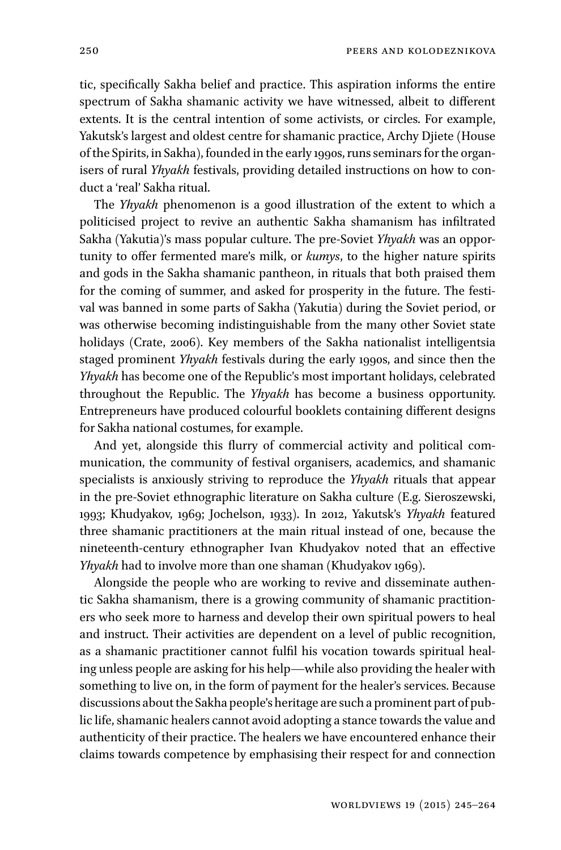tic, specifically Sakha belief and practice. This aspiration informs the entire spectrum of Sakha shamanic activity we have witnessed, albeit to different extents. It is the central intention of some activists, or circles. For example, Yakutsk's largest and oldest centre for shamanic practice, Archy Djiete (House of the Spirits, in Sakha), founded in the early 1990s, runs seminars for the organisers of rural *Yhyakh* festivals, providing detailed instructions on how to conduct a 'real' Sakha ritual.

The *Yhyakh* phenomenon is a good illustration of the extent to which a politicised project to revive an authentic Sakha shamanism has infiltrated Sakha (Yakutia)'s mass popular culture. The pre-Soviet *Yhyakh* was an opportunity to offer fermented mare's milk, or *kumys*, to the higher nature spirits and gods in the Sakha shamanic pantheon, in rituals that both praised them for the coming of summer, and asked for prosperity in the future. The festival was banned in some parts of Sakha (Yakutia) during the Soviet period, or was otherwise becoming indistinguishable from the many other Soviet state holidays (Crate, 2006). Key members of the Sakha nationalist intelligentsia staged prominent *Yhyakh* festivals during the early 1990s, and since then the *Yhyakh* has become one of the Republic's most important holidays, celebrated throughout the Republic. The *Yhyakh* has become a business opportunity. Entrepreneurs have produced colourful booklets containing different designs for Sakha national costumes, for example.

And yet, alongside this flurry of commercial activity and political communication, the community of festival organisers, academics, and shamanic specialists is anxiously striving to reproduce the *Yhyakh* rituals that appear in the pre-Soviet ethnographic literature on Sakha culture (E.g. Sieroszewski, 1993; Khudyakov, 1969; Jochelson, 1933). In 2012, Yakutsk's *Yhyakh* featured three shamanic practitioners at the main ritual instead of one, because the nineteenth-century ethnographer Ivan Khudyakov noted that an effective *Yhyakh* had to involve more than one shaman (Khudyakov 1969).

Alongside the people who are working to revive and disseminate authentic Sakha shamanism, there is a growing community of shamanic practitioners who seek more to harness and develop their own spiritual powers to heal and instruct. Their activities are dependent on a level of public recognition, as a shamanic practitioner cannot fulfil his vocation towards spiritual healing unless people are asking for his help—while also providing the healer with something to live on, in the form of payment for the healer's services. Because discussions about the Sakha people's heritage are such a prominent part of public life, shamanic healers cannot avoid adopting a stance towards the value and authenticity of their practice. The healers we have encountered enhance their claims towards competence by emphasising their respect for and connection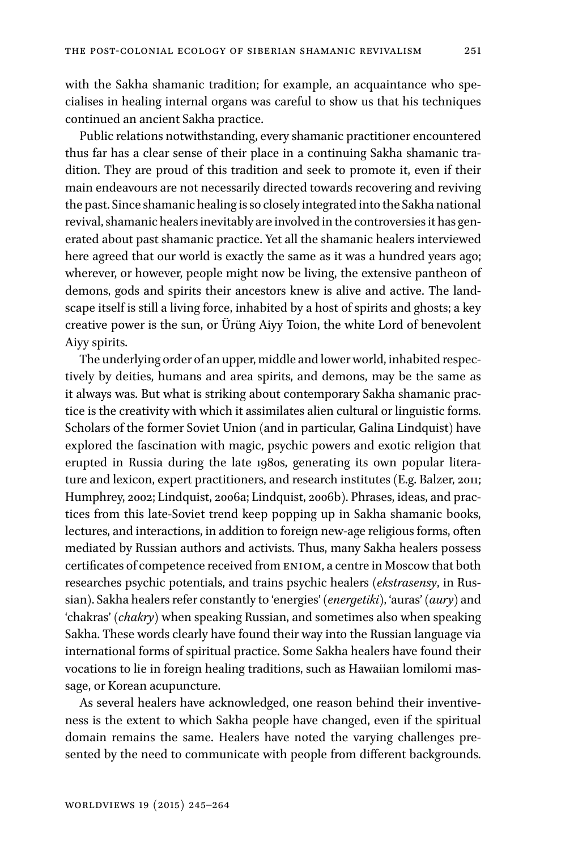with the Sakha shamanic tradition; for example, an acquaintance who specialises in healing internal organs was careful to show us that his techniques continued an ancient Sakha practice.

Public relations notwithstanding, every shamanic practitioner encountered thus far has a clear sense of their place in a continuing Sakha shamanic tradition. They are proud of this tradition and seek to promote it, even if their main endeavours are not necessarily directed towards recovering and reviving the past. Since shamanic healing is so closely integrated into the Sakha national revival, shamanic healers inevitably are involved in the controversies it has generated about past shamanic practice. Yet all the shamanic healers interviewed here agreed that our world is exactly the same as it was a hundred years ago; wherever, or however, people might now be living, the extensive pantheon of demons, gods and spirits their ancestors knew is alive and active. The landscape itself is still a living force, inhabited by a host of spirits and ghosts; a key creative power is the sun, or Ürüng Aiyy Toion, the white Lord of benevolent Aiyy spirits.

The underlying order of an upper, middle and lower world, inhabited respectively by deities, humans and area spirits, and demons, may be the same as it always was. But what is striking about contemporary Sakha shamanic practice is the creativity with which it assimilates alien cultural or linguistic forms. Scholars of the former Soviet Union (and in particular, Galina Lindquist) have explored the fascination with magic, psychic powers and exotic religion that erupted in Russia during the late 1980s, generating its own popular literature and lexicon, expert practitioners, and research institutes (E.g. Balzer, 2011; Humphrey, 2002; Lindquist, 2006a; Lindquist, 2006b). Phrases, ideas, and practices from this late-Soviet trend keep popping up in Sakha shamanic books, lectures, and interactions, in addition to foreign new-age religious forms, often mediated by Russian authors and activists. Thus, many Sakha healers possess certificates of competence received from eniom, a centre in Moscow that both researches psychic potentials, and trains psychic healers (*ekstrasensy*, in Russian). Sakha healers refer constantly to 'energies' (*energetiki*), 'auras' (*aury*) and 'chakras' (*chakry*) when speaking Russian, and sometimes also when speaking Sakha. These words clearly have found their way into the Russian language via international forms of spiritual practice. Some Sakha healers have found their vocations to lie in foreign healing traditions, such as Hawaiian lomilomi massage, or Korean acupuncture.

As several healers have acknowledged, one reason behind their inventiveness is the extent to which Sakha people have changed, even if the spiritual domain remains the same. Healers have noted the varying challenges presented by the need to communicate with people from different backgrounds.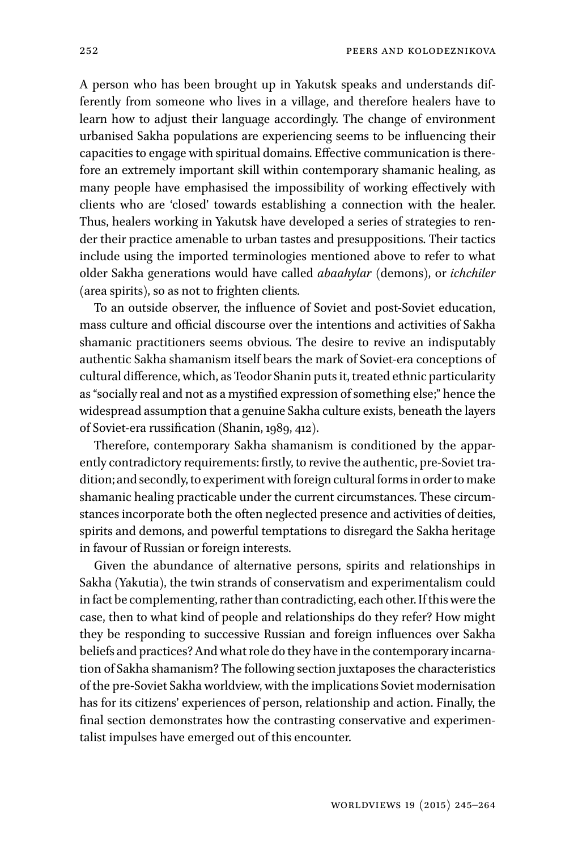A person who has been brought up in Yakutsk speaks and understands differently from someone who lives in a village, and therefore healers have to learn how to adjust their language accordingly. The change of environment urbanised Sakha populations are experiencing seems to be influencing their capacities to engage with spiritual domains. Effective communication is therefore an extremely important skill within contemporary shamanic healing, as many people have emphasised the impossibility of working effectively with clients who are 'closed' towards establishing a connection with the healer. Thus, healers working in Yakutsk have developed a series of strategies to render their practice amenable to urban tastes and presuppositions. Their tactics include using the imported terminologies mentioned above to refer to what older Sakha generations would have called *abaahylar* (demons), or *ichchiler* (area spirits), so as not to frighten clients.

To an outside observer, the influence of Soviet and post-Soviet education, mass culture and official discourse over the intentions and activities of Sakha shamanic practitioners seems obvious. The desire to revive an indisputably authentic Sakha shamanism itself bears the mark of Soviet-era conceptions of cultural difference, which, as Teodor Shanin puts it, treated ethnic particularity as "socially real and not as a mystified expression of something else;" hence the widespread assumption that a genuine Sakha culture exists, beneath the layers of Soviet-era russification (Shanin, 1989, 412).

Therefore, contemporary Sakha shamanism is conditioned by the apparently contradictory requirements: firstly, to revive the authentic, pre-Soviet tradition; and secondly, to experiment with foreign cultural forms in order to make shamanic healing practicable under the current circumstances. These circumstances incorporate both the often neglected presence and activities of deities, spirits and demons, and powerful temptations to disregard the Sakha heritage in favour of Russian or foreign interests.

Given the abundance of alternative persons, spirits and relationships in Sakha (Yakutia), the twin strands of conservatism and experimentalism could in fact be complementing, rather than contradicting, each other. If this were the case, then to what kind of people and relationships do they refer? How might they be responding to successive Russian and foreign influences over Sakha beliefs and practices? And what role do they have in the contemporary incarnation of Sakha shamanism? The following section juxtaposes the characteristics of the pre-Soviet Sakha worldview, with the implications Soviet modernisation has for its citizens' experiences of person, relationship and action. Finally, the final section demonstrates how the contrasting conservative and experimentalist impulses have emerged out of this encounter.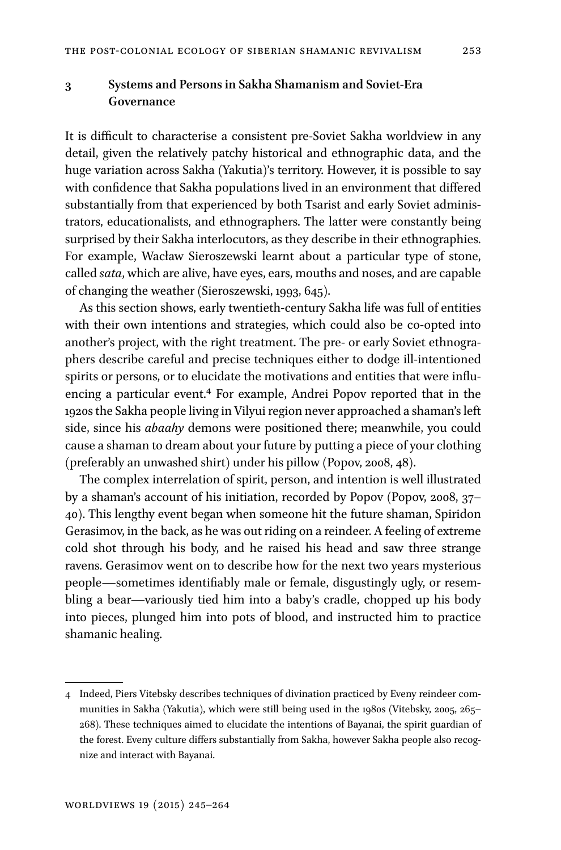## **3 Systems and Persons in Sakha Shamanism and Soviet-Era Governance**

It is difficult to characterise a consistent pre-Soviet Sakha worldview in any detail, given the relatively patchy historical and ethnographic data, and the huge variation across Sakha (Yakutia)'s territory. However, it is possible to say with confidence that Sakha populations lived in an environment that differed substantially from that experienced by both Tsarist and early Soviet administrators, educationalists, and ethnographers. The latter were constantly being surprised by their Sakha interlocutors, as they describe in their ethnographies. For example, Wacław Sieroszewski learnt about a particular type of stone, called *sata*, which are alive, have eyes, ears, mouths and noses, and are capable of changing the weather (Sieroszewski, 1993, 645).

As this section shows, early twentieth-century Sakha life was full of entities with their own intentions and strategies, which could also be co-opted into another's project, with the right treatment. The pre- or early Soviet ethnographers describe careful and precise techniques either to dodge ill-intentioned spirits or persons, or to elucidate the motivations and entities that were influencing a particular event.4 For example, Andrei Popov reported that in the 1920s the Sakha people living in Vilyui region never approached a shaman's left side, since his *abaahy* demons were positioned there; meanwhile, you could cause a shaman to dream about your future by putting a piece of your clothing (preferably an unwashed shirt) under his pillow (Popov, 2008, 48).

The complex interrelation of spirit, person, and intention is well illustrated by a shaman's account of his initiation, recorded by Popov (Popov, 2008, 37– 40). This lengthy event began when someone hit the future shaman, Spiridon Gerasimov, in the back, as he was out riding on a reindeer. A feeling of extreme cold shot through his body, and he raised his head and saw three strange ravens. Gerasimov went on to describe how for the next two years mysterious people—sometimes identifiably male or female, disgustingly ugly, or resembling a bear—variously tied him into a baby's cradle, chopped up his body into pieces, plunged him into pots of blood, and instructed him to practice shamanic healing.

<sup>4</sup> Indeed, Piers Vitebsky describes techniques of divination practiced by Eveny reindeer communities in Sakha (Yakutia), which were still being used in the 1980s (Vitebsky, 2005, 265– 268). These techniques aimed to elucidate the intentions of Bayanai, the spirit guardian of the forest. Eveny culture differs substantially from Sakha, however Sakha people also recognize and interact with Bayanai.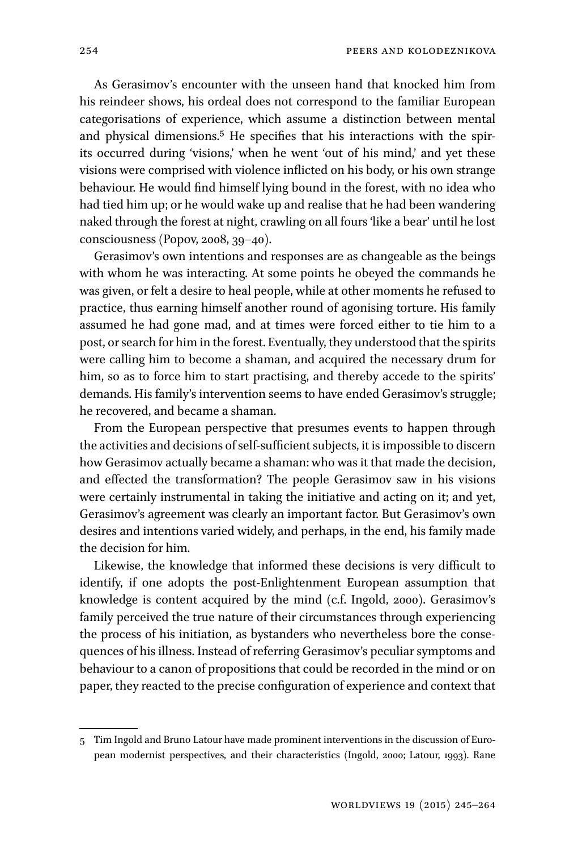As Gerasimov's encounter with the unseen hand that knocked him from his reindeer shows, his ordeal does not correspond to the familiar European categorisations of experience, which assume a distinction between mental and physical dimensions.<sup>5</sup> He specifies that his interactions with the spirits occurred during 'visions,' when he went 'out of his mind,' and yet these visions were comprised with violence inflicted on his body, or his own strange behaviour. He would find himself lying bound in the forest, with no idea who had tied him up; or he would wake up and realise that he had been wandering naked through the forest at night, crawling on all fours 'like a bear' until he lost consciousness (Popov, 2008, 39–40).

Gerasimov's own intentions and responses are as changeable as the beings with whom he was interacting. At some points he obeyed the commands he was given, or felt a desire to heal people, while at other moments he refused to practice, thus earning himself another round of agonising torture. His family assumed he had gone mad, and at times were forced either to tie him to a post, or search for him in the forest. Eventually, they understood that the spirits were calling him to become a shaman, and acquired the necessary drum for him, so as to force him to start practising, and thereby accede to the spirits' demands. His family's intervention seems to have ended Gerasimov's struggle; he recovered, and became a shaman.

From the European perspective that presumes events to happen through the activities and decisions of self-sufficient subjects, it is impossible to discern how Gerasimov actually became a shaman: who was it that made the decision, and effected the transformation? The people Gerasimov saw in his visions were certainly instrumental in taking the initiative and acting on it; and yet, Gerasimov's agreement was clearly an important factor. But Gerasimov's own desires and intentions varied widely, and perhaps, in the end, his family made the decision for him.

Likewise, the knowledge that informed these decisions is very difficult to identify, if one adopts the post-Enlightenment European assumption that knowledge is content acquired by the mind (c.f. Ingold, 2000). Gerasimov's family perceived the true nature of their circumstances through experiencing the process of his initiation, as bystanders who nevertheless bore the consequences of his illness. Instead of referring Gerasimov's peculiar symptoms and behaviour to a canon of propositions that could be recorded in the mind or on paper, they reacted to the precise configuration of experience and context that

<sup>5</sup> Tim Ingold and Bruno Latour have made prominent interventions in the discussion of European modernist perspectives, and their characteristics (Ingold, 2000; Latour, 1993). Rane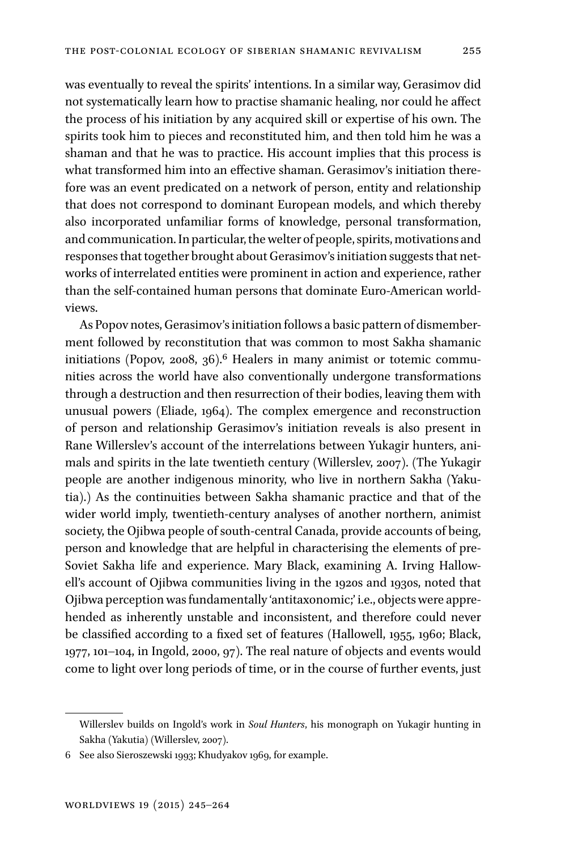was eventually to reveal the spirits' intentions. In a similar way, Gerasimov did not systematically learn how to practise shamanic healing, nor could he affect the process of his initiation by any acquired skill or expertise of his own. The spirits took him to pieces and reconstituted him, and then told him he was a shaman and that he was to practice. His account implies that this process is what transformed him into an effective shaman. Gerasimov's initiation therefore was an event predicated on a network of person, entity and relationship that does not correspond to dominant European models, and which thereby also incorporated unfamiliar forms of knowledge, personal transformation, and communication.In particular, thewelter of people, spirits, motivations and responses that together brought about Gerasimov's initiation suggests that networks of interrelated entities were prominent in action and experience, rather than the self-contained human persons that dominate Euro-American worldviews.

As Popov notes, Gerasimov's initiation follows a basic pattern of dismemberment followed by reconstitution that was common to most Sakha shamanic initiations (Popov, 2008,  $36$ ).<sup>6</sup> Healers in many animist or totemic communities across the world have also conventionally undergone transformations through a destruction and then resurrection of their bodies, leaving them with unusual powers (Eliade, 1964). The complex emergence and reconstruction of person and relationship Gerasimov's initiation reveals is also present in Rane Willerslev's account of the interrelations between Yukagir hunters, animals and spirits in the late twentieth century (Willerslev, 2007). (The Yukagir people are another indigenous minority, who live in northern Sakha (Yakutia).) As the continuities between Sakha shamanic practice and that of the wider world imply, twentieth-century analyses of another northern, animist society, the Ojibwa people of south-central Canada, provide accounts of being, person and knowledge that are helpful in characterising the elements of pre-Soviet Sakha life and experience. Mary Black, examining A. Irving Hallowell's account of Ojibwa communities living in the 1920s and 1930s, noted that Ojibwa perception was fundamentally 'antitaxonomic;' i.e., objects were apprehended as inherently unstable and inconsistent, and therefore could never be classified according to a fixed set of features (Hallowell, 1955, 1960; Black, 1977, 101–104, in Ingold, 2000, 97). The real nature of objects and events would come to light over long periods of time, or in the course of further events, just

Willerslev builds on Ingold's work in *Soul Hunters*, his monograph on Yukagir hunting in Sakha (Yakutia) (Willerslev, 2007).

<sup>6</sup> See also Sieroszewski 1993; Khudyakov 1969, for example.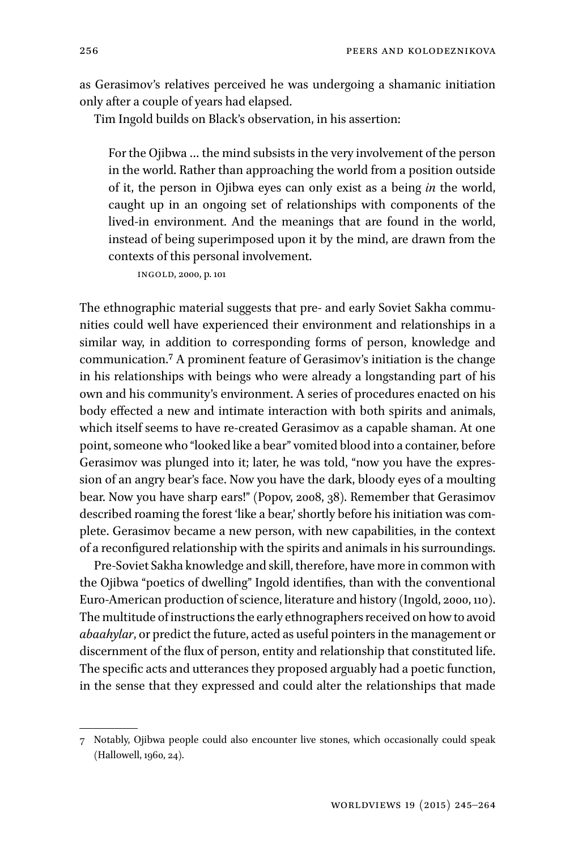as Gerasimov's relatives perceived he was undergoing a shamanic initiation only after a couple of years had elapsed.

Tim Ingold builds on Black's observation, in his assertion:

For the Ojibwa … the mind subsists in the very involvement of the person in the world. Rather than approaching the world from a position outside of it, the person in Ojibwa eyes can only exist as a being *in* the world, caught up in an ongoing set of relationships with components of the lived-in environment. And the meanings that are found in the world, instead of being superimposed upon it by the mind, are drawn from the contexts of this personal involvement.

ingold, 2000, p. 101

The ethnographic material suggests that pre- and early Soviet Sakha communities could well have experienced their environment and relationships in a similar way, in addition to corresponding forms of person, knowledge and communication.7 A prominent feature of Gerasimov's initiation is the change in his relationships with beings who were already a longstanding part of his own and his community's environment. A series of procedures enacted on his body effected a new and intimate interaction with both spirits and animals, which itself seems to have re-created Gerasimov as a capable shaman. At one point, someone who "looked like a bear" vomited blood into a container, before Gerasimov was plunged into it; later, he was told, "now you have the expression of an angry bear's face. Now you have the dark, bloody eyes of a moulting bear. Now you have sharp ears!" (Popov, 2008, 38). Remember that Gerasimov described roaming the forest 'like a bear,' shortly before his initiation was complete. Gerasimov became a new person, with new capabilities, in the context of a reconfigured relationship with the spirits and animals in his surroundings.

Pre-Soviet Sakha knowledge and skill, therefore, have more in common with the Ojibwa "poetics of dwelling" Ingold identifies, than with the conventional Euro-American production of science, literature and history (Ingold, 2000, 110). The multitude of instructions the early ethnographers received on how to avoid *abaahylar*, or predict the future, acted as useful pointers in the management or discernment of the flux of person, entity and relationship that constituted life. The specific acts and utterances they proposed arguably had a poetic function, in the sense that they expressed and could alter the relationships that made

<sup>7</sup> Notably, Ojibwa people could also encounter live stones, which occasionally could speak (Hallowell, 1960, 24).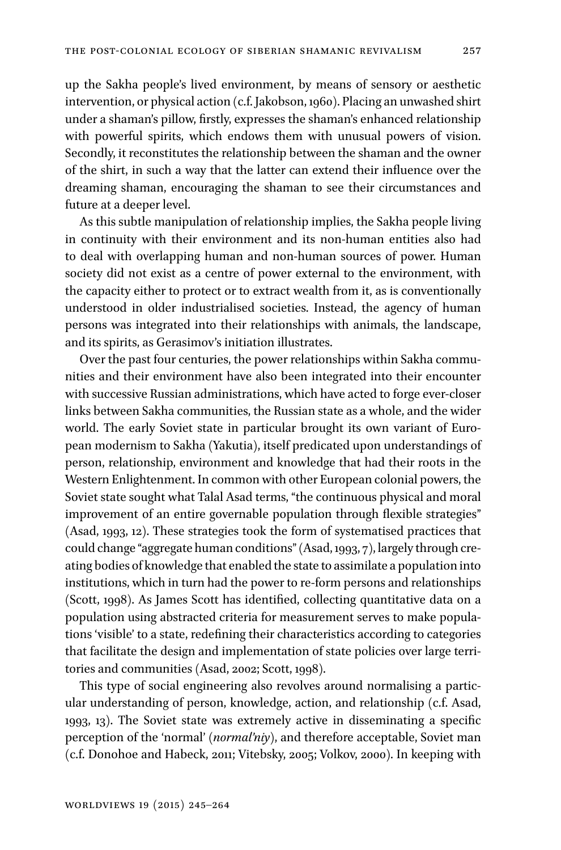up the Sakha people's lived environment, by means of sensory or aesthetic intervention, or physical action (c.f. Jakobson, 1960). Placing an unwashed shirt under a shaman's pillow, firstly, expresses the shaman's enhanced relationship with powerful spirits, which endows them with unusual powers of vision. Secondly, it reconstitutes the relationship between the shaman and the owner of the shirt, in such a way that the latter can extend their influence over the dreaming shaman, encouraging the shaman to see their circumstances and future at a deeper level.

As this subtle manipulation of relationship implies, the Sakha people living in continuity with their environment and its non-human entities also had to deal with overlapping human and non-human sources of power. Human society did not exist as a centre of power external to the environment, with the capacity either to protect or to extract wealth from it, as is conventionally understood in older industrialised societies. Instead, the agency of human persons was integrated into their relationships with animals, the landscape, and its spirits, as Gerasimov's initiation illustrates.

Over the past four centuries, the power relationships within Sakha communities and their environment have also been integrated into their encounter with successive Russian administrations, which have acted to forge ever-closer links between Sakha communities, the Russian state as a whole, and the wider world. The early Soviet state in particular brought its own variant of European modernism to Sakha (Yakutia), itself predicated upon understandings of person, relationship, environment and knowledge that had their roots in the Western Enlightenment. In common with other European colonial powers, the Soviet state sought what Talal Asad terms, "the continuous physical and moral improvement of an entire governable population through flexible strategies" (Asad, 1993, 12). These strategies took the form of systematised practices that could change"aggregate human conditions" (Asad,1993, 7), largely through creating bodies of knowledge that enabled the state to assimilate a population into institutions, which in turn had the power to re-form persons and relationships (Scott, 1998). As James Scott has identified, collecting quantitative data on a population using abstracted criteria for measurement serves to make populations 'visible' to a state, redefining their characteristics according to categories that facilitate the design and implementation of state policies over large territories and communities (Asad, 2002; Scott, 1998).

This type of social engineering also revolves around normalising a particular understanding of person, knowledge, action, and relationship (c.f. Asad, 1993, 13). The Soviet state was extremely active in disseminating a specific perception of the 'normal' (*normal'niy*), and therefore acceptable, Soviet man (c.f. Donohoe and Habeck, 2011; Vitebsky, 2005; Volkov, 2000). In keeping with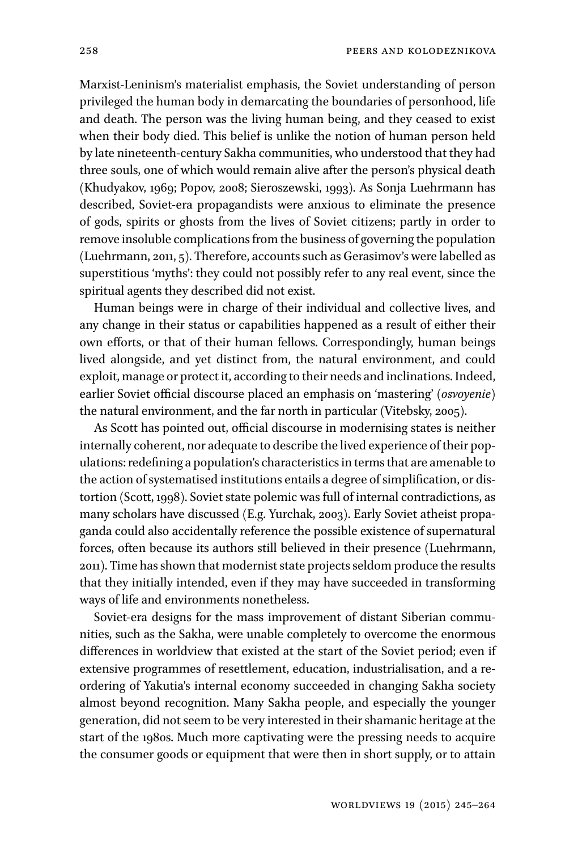Marxist-Leninism's materialist emphasis, the Soviet understanding of person privileged the human body in demarcating the boundaries of personhood, life and death. The person was the living human being, and they ceased to exist when their body died. This belief is unlike the notion of human person held by late nineteenth-century Sakha communities, who understood that they had three souls, one of which would remain alive after the person's physical death (Khudyakov, 1969; Popov, 2008; Sieroszewski, 1993). As Sonja Luehrmann has described, Soviet-era propagandists were anxious to eliminate the presence of gods, spirits or ghosts from the lives of Soviet citizens; partly in order to remove insoluble complications from the business of governing the population (Luehrmann, 2011, 5). Therefore, accounts such as Gerasimov's were labelled as superstitious 'myths': they could not possibly refer to any real event, since the spiritual agents they described did not exist.

Human beings were in charge of their individual and collective lives, and any change in their status or capabilities happened as a result of either their own efforts, or that of their human fellows. Correspondingly, human beings lived alongside, and yet distinct from, the natural environment, and could exploit, manage or protect it, according to their needs and inclinations. Indeed, earlier Soviet official discourse placed an emphasis on 'mastering' (*osvoyenie*) the natural environment, and the far north in particular (Vitebsky, 2005).

As Scott has pointed out, official discourse in modernising states is neither internally coherent, nor adequate to describe the lived experience of their populations: redefining a population's characteristics in terms that are amenable to the action of systematised institutions entails a degree of simplification, or distortion (Scott, 1998). Soviet state polemic was full of internal contradictions, as many scholars have discussed (E.g. Yurchak, 2003). Early Soviet atheist propaganda could also accidentally reference the possible existence of supernatural forces, often because its authors still believed in their presence (Luehrmann, 2011). Time has shown that modernist state projects seldom produce the results that they initially intended, even if they may have succeeded in transforming ways of life and environments nonetheless.

Soviet-era designs for the mass improvement of distant Siberian communities, such as the Sakha, were unable completely to overcome the enormous differences in worldview that existed at the start of the Soviet period; even if extensive programmes of resettlement, education, industrialisation, and a reordering of Yakutia's internal economy succeeded in changing Sakha society almost beyond recognition. Many Sakha people, and especially the younger generation, did not seem to be very interested in their shamanic heritage at the start of the 1980s. Much more captivating were the pressing needs to acquire the consumer goods or equipment that were then in short supply, or to attain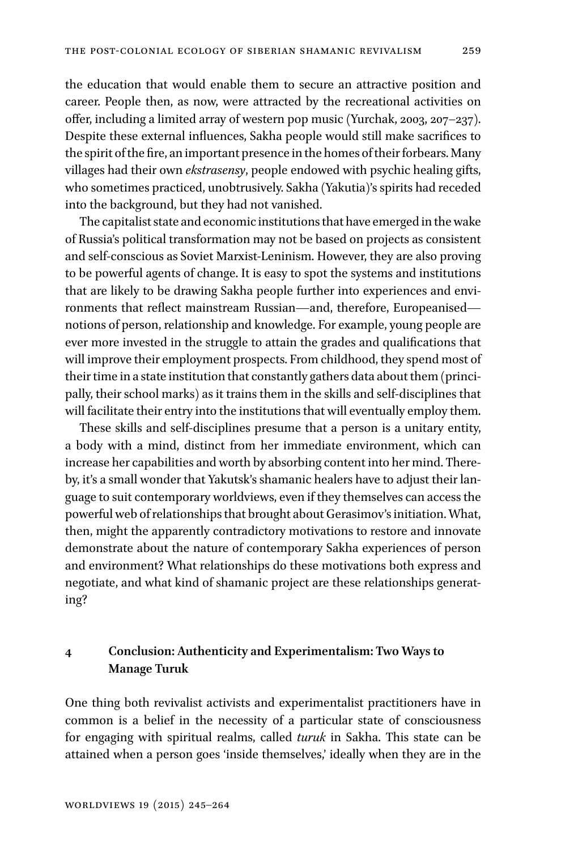the education that would enable them to secure an attractive position and career. People then, as now, were attracted by the recreational activities on offer, including a limited array of western pop music (Yurchak, 2003, 207–237). Despite these external influences, Sakha people would still make sacrifices to the spirit of the fire, an important presence in the homes of their forbears. Many villages had their own *ekstrasensy*, people endowed with psychic healing gifts, who sometimes practiced, unobtrusively. Sakha (Yakutia)'s spirits had receded into the background, but they had not vanished.

The capitalist state and economic institutions that have emerged in the wake of Russia's political transformation may not be based on projects as consistent and self-conscious as Soviet Marxist-Leninism. However, they are also proving to be powerful agents of change. It is easy to spot the systems and institutions that are likely to be drawing Sakha people further into experiences and environments that reflect mainstream Russian—and, therefore, Europeanised notions of person, relationship and knowledge. For example, young people are ever more invested in the struggle to attain the grades and qualifications that will improve their employment prospects. From childhood, they spend most of their time in a state institution that constantly gathers data about them (principally, their school marks) as it trains them in the skills and self-disciplines that will facilitate their entry into the institutions that will eventually employ them.

These skills and self-disciplines presume that a person is a unitary entity, a body with a mind, distinct from her immediate environment, which can increase her capabilities and worth by absorbing content into her mind. Thereby, it's a small wonder that Yakutsk's shamanic healers have to adjust their language to suit contemporary worldviews, even if they themselves can access the powerful web of relationships that brought about Gerasimov's initiation. What, then, might the apparently contradictory motivations to restore and innovate demonstrate about the nature of contemporary Sakha experiences of person and environment? What relationships do these motivations both express and negotiate, and what kind of shamanic project are these relationships generating?

## **4 Conclusion: Authenticity and Experimentalism: Two Ways to Manage Turuk**

One thing both revivalist activists and experimentalist practitioners have in common is a belief in the necessity of a particular state of consciousness for engaging with spiritual realms, called *turuk* in Sakha. This state can be attained when a person goes 'inside themselves,' ideally when they are in the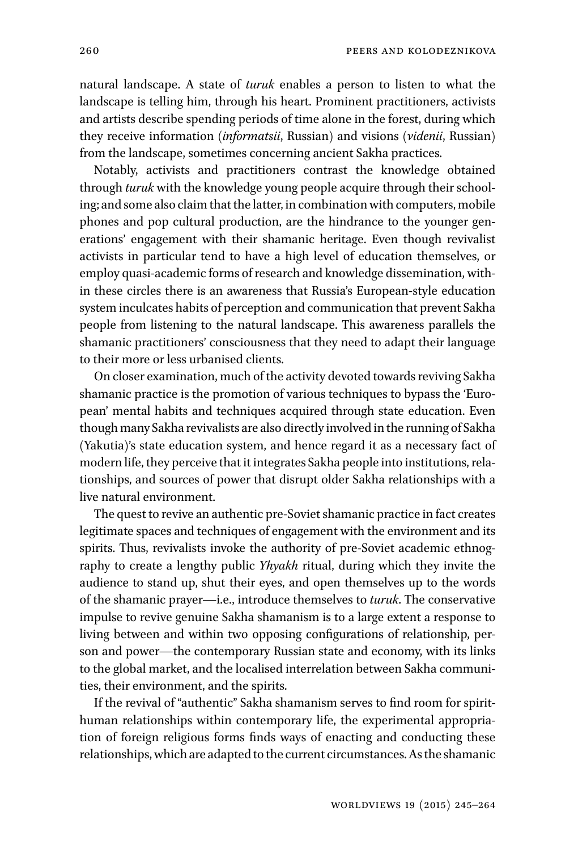natural landscape. A state of *turuk* enables a person to listen to what the landscape is telling him, through his heart. Prominent practitioners, activists and artists describe spending periods of time alone in the forest, during which they receive information (*informatsii*, Russian) and visions (*videnii*, Russian) from the landscape, sometimes concerning ancient Sakha practices.

Notably, activists and practitioners contrast the knowledge obtained through *turuk* with the knowledge young people acquire through their schooling; and some also claim that the latter, in combination with computers, mobile phones and pop cultural production, are the hindrance to the younger generations' engagement with their shamanic heritage. Even though revivalist activists in particular tend to have a high level of education themselves, or employ quasi-academic forms of research and knowledge dissemination, within these circles there is an awareness that Russia's European-style education system inculcates habits of perception and communication that prevent Sakha people from listening to the natural landscape. This awareness parallels the shamanic practitioners' consciousness that they need to adapt their language to their more or less urbanised clients.

On closer examination, much of the activity devoted towards reviving Sakha shamanic practice is the promotion of various techniques to bypass the 'European' mental habits and techniques acquired through state education. Even though many Sakha revivalists are also directly involved in the running of Sakha (Yakutia)'s state education system, and hence regard it as a necessary fact of modern life, they perceive that it integrates Sakha people into institutions, relationships, and sources of power that disrupt older Sakha relationships with a live natural environment.

The quest to revive an authentic pre-Soviet shamanic practice in fact creates legitimate spaces and techniques of engagement with the environment and its spirits. Thus, revivalists invoke the authority of pre-Soviet academic ethnography to create a lengthy public *Yhyakh* ritual, during which they invite the audience to stand up, shut their eyes, and open themselves up to the words of the shamanic prayer—i.e., introduce themselves to *turuk*. The conservative impulse to revive genuine Sakha shamanism is to a large extent a response to living between and within two opposing configurations of relationship, person and power—the contemporary Russian state and economy, with its links to the global market, and the localised interrelation between Sakha communities, their environment, and the spirits.

If the revival of "authentic" Sakha shamanism serves to find room for spirithuman relationships within contemporary life, the experimental appropriation of foreign religious forms finds ways of enacting and conducting these relationships,which are adapted to the current circumstances. As the shamanic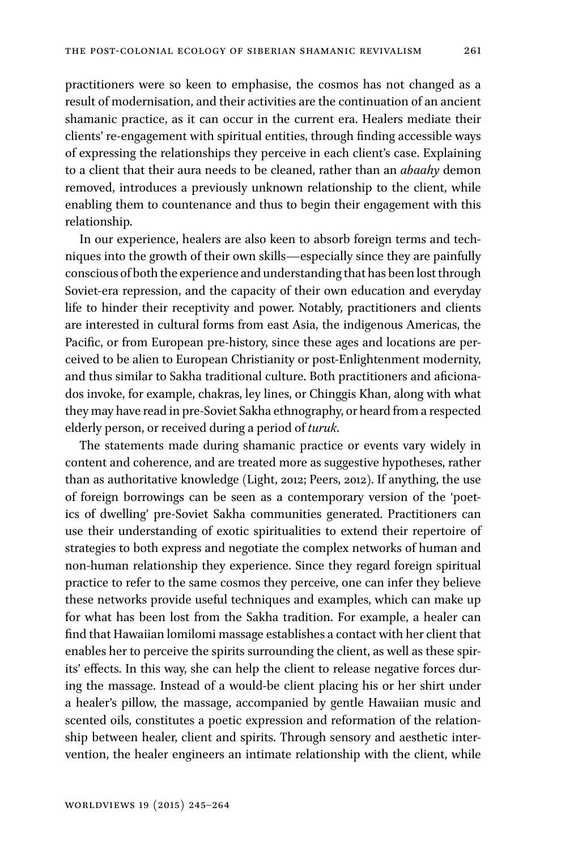practitioners were so keen to emphasise, the cosmos has not changed as a result of modernisation, and their activities are the continuation of an ancient shamanic practice, as it can occur in the current era. Healers mediate their clients' re-engagement with spiritual entities, through finding accessible ways of expressing the relationships they perceive in each client's case. Explaining to a client that their aura needs to be cleaned, rather than an *abaahy* demon removed, introduces a previously unknown relationship to the client, while enabling them to countenance and thus to begin their engagement with this relationship.

In our experience, healers are also keen to absorb foreign terms and techniques into the growth of their own skills—especially since they are painfully conscious of both the experience and understanding that has been lost through Soviet-era repression, and the capacity of their own education and everyday life to hinder their receptivity and power. Notably, practitioners and clients are interested in cultural forms from east Asia, the indigenous Americas, the Pacific, or from European pre-history, since these ages and locations are perceived to be alien to European Christianity or post-Enlightenment modernity, and thus similar to Sakha traditional culture. Both practitioners and aficionados invoke, for example, chakras, ley lines, or Chinggis Khan, along with what they may have read in pre-Soviet Sakha ethnography, or heard from a respected elderly person, or received during a period of *turuk*.

The statements made during shamanic practice or events vary widely in content and coherence, and are treated more as suggestive hypotheses, rather than as authoritative knowledge (Light, 2012; Peers, 2012). If anything, the use of foreign borrowings can be seen as a contemporary version of the 'poetics of dwelling' pre-Soviet Sakha communities generated. Practitioners can use their understanding of exotic spiritualities to extend their repertoire of strategies to both express and negotiate the complex networks of human and non-human relationship they experience. Since they regard foreign spiritual practice to refer to the same cosmos they perceive, one can infer they believe these networks provide useful techniques and examples, which can make up for what has been lost from the Sakha tradition. For example, a healer can find that Hawaiian lomilomi massage establishes a contact with her client that enables her to perceive the spirits surrounding the client, as well as these spirits' effects. In this way, she can help the client to release negative forces during the massage. Instead of a would-be client placing his or her shirt under a healer's pillow, the massage, accompanied by gentle Hawaiian music and scented oils, constitutes a poetic expression and reformation of the relationship between healer, client and spirits. Through sensory and aesthetic intervention, the healer engineers an intimate relationship with the client, while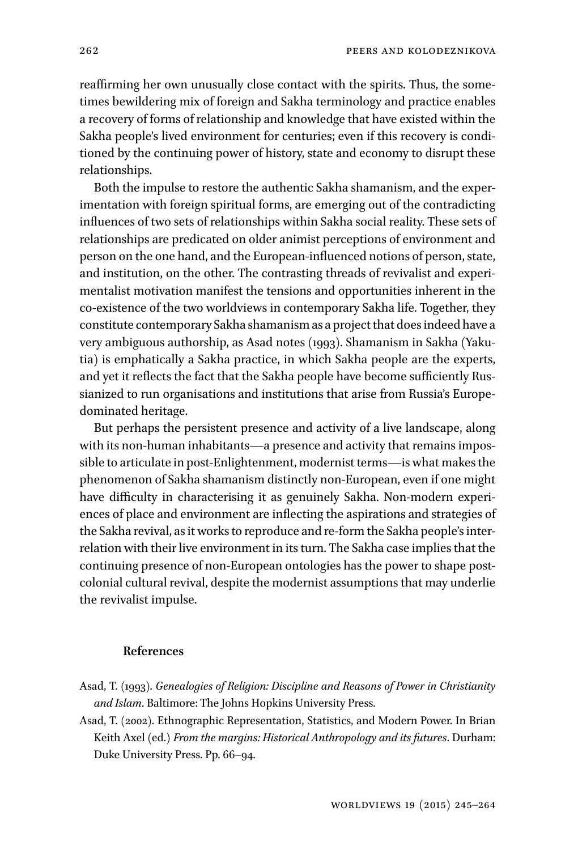reaffirming her own unusually close contact with the spirits. Thus, the sometimes bewildering mix of foreign and Sakha terminology and practice enables a recovery of forms of relationship and knowledge that have existed within the Sakha people's lived environment for centuries; even if this recovery is conditioned by the continuing power of history, state and economy to disrupt these relationships.

Both the impulse to restore the authentic Sakha shamanism, and the experimentation with foreign spiritual forms, are emerging out of the contradicting influences of two sets of relationships within Sakha social reality. These sets of relationships are predicated on older animist perceptions of environment and person on the one hand, and the European-influenced notions of person, state, and institution, on the other. The contrasting threads of revivalist and experimentalist motivation manifest the tensions and opportunities inherent in the co-existence of the two worldviews in contemporary Sakha life. Together, they constitute contemporary Sakha shamanism as a project that does indeed have a very ambiguous authorship, as Asad notes (1993). Shamanism in Sakha (Yakutia) is emphatically a Sakha practice, in which Sakha people are the experts, and yet it reflects the fact that the Sakha people have become sufficiently Russianized to run organisations and institutions that arise from Russia's Europedominated heritage.

But perhaps the persistent presence and activity of a live landscape, along with its non-human inhabitants—a presence and activity that remains impossible to articulate in post-Enlightenment, modernist terms—is what makes the phenomenon of Sakha shamanism distinctly non-European, even if one might have difficulty in characterising it as genuinely Sakha. Non-modern experiences of place and environment are inflecting the aspirations and strategies of the Sakha revival, as it works to reproduce and re-form the Sakha people's interrelation with their live environment in its turn. The Sakha case implies that the continuing presence of non-European ontologies has the power to shape postcolonial cultural revival, despite the modernist assumptions that may underlie the revivalist impulse.

#### **References**

Asad, T. (2002). Ethnographic Representation, Statistics, and Modern Power. In Brian Keith Axel (ed.) *From the margins: Historical Anthropology and its futures*. Durham: Duke University Press. Pp. 66–94.

Asad, T. (1993). *Genealogies of Religion: Discipline and Reasons of Power in Christianity and Islam*. Baltimore: The Johns Hopkins University Press.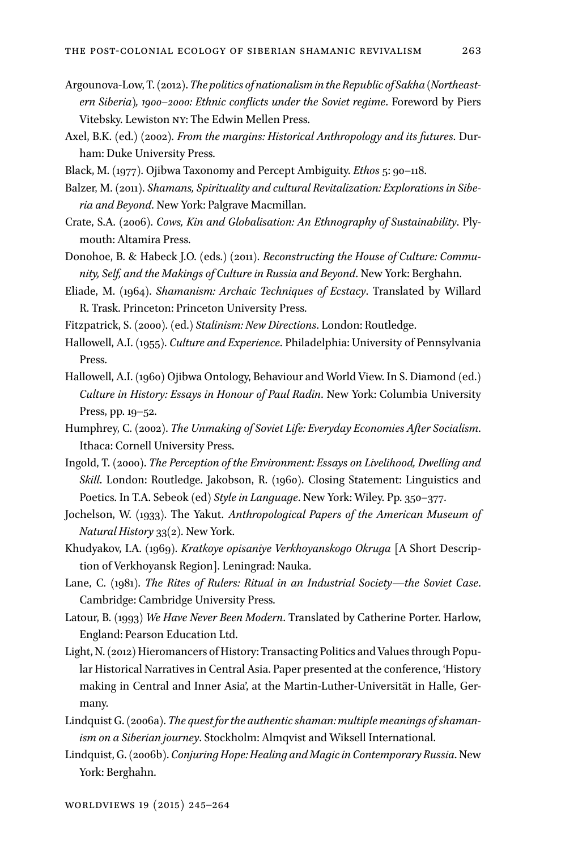- Argounova-Low, T. (2012). *The politics of nationalism inthe Republic of Sakha (Northeastern Siberia), 1900–2000: Ethnic conflicts under the Soviet regime*. Foreword by Piers Vitebsky. Lewiston ny: The Edwin Mellen Press.
- Axel, B.K. (ed.) (2002). *From the margins: Historical Anthropology and its futures*. Durham: Duke University Press.
- Black, M. (1977). Ojibwa Taxonomy and Percept Ambiguity. *Ethos* 5: 90–118.
- Balzer, M. (2011). *Shamans, Spirituality and cultural Revitalization: Explorations in Siberia and Beyond*. New York: Palgrave Macmillan.
- Crate, S.A. (2006). *Cows, Kin and Globalisation: An Ethnography of Sustainability*. Plymouth: Altamira Press.
- Donohoe, B. & Habeck J.O. (eds.) (2011). *Reconstructing the House of Culture: Community, Self, and the Makings of Culture in Russia and Beyond*. New York: Berghahn.
- Eliade, M. (1964). *Shamanism: Archaic Techniques of Ecstacy*. Translated by Willard R. Trask. Princeton: Princeton University Press.
- Fitzpatrick, S. (2000). (ed.) *Stalinism: New Directions*. London: Routledge.
- Hallowell, A.I. (1955). *Culture and Experience*. Philadelphia: University of Pennsylvania Press.
- Hallowell, A.I. (1960) Ojibwa Ontology, Behaviour and World View. In S. Diamond (ed.) *Culture in History: Essays in Honour of Paul Radin*. New York: Columbia University Press, pp. 19–52.
- Humphrey, C. (2002). *The Unmaking of Soviet Life: Everyday Economies After Socialism*. Ithaca: Cornell University Press.
- Ingold, T. (2000). *The Perception of the Environment: Essays on Livelihood, Dwelling and Skill*. London: Routledge. Jakobson, R. (1960). Closing Statement: Linguistics and Poetics. In T.A. Sebeok (ed) *Style in Language*. New York: Wiley. Pp. 350–377.
- Jochelson, W. (1933). The Yakut. *Anthropological Papers of the American Museum of Natural History* 33(2). New York.
- Khudyakov, I.A. (1969). *Kratkoye opisaniye Verkhoyanskogo Okruga* [A Short Description of Verkhoyansk Region]. Leningrad: Nauka.
- Lane, C. (1981). *The Rites of Rulers: Ritual in an Industrial Society—the Soviet Case*. Cambridge: Cambridge University Press.
- Latour, B. (1993) *We Have Never Been Modern*. Translated by Catherine Porter. Harlow, England: Pearson Education Ltd.
- Light, N. (2012) Hieromancers of History: Transacting Politics and Values through Popular Historical Narratives in Central Asia. Paper presented at the conference, 'History making in Central and Inner Asia', at the Martin-Luther-Universität in Halle, Germany.
- Lindquist G. (2006a). *The quest for the authentic shaman: multiple meanings of shamanism on a Siberian journey*. Stockholm: Almqvist and Wiksell International.
- Lindquist, G. (2006b). *Conjuring Hope: Healing and Magic in Contemporary Russia*. New York: Berghahn.